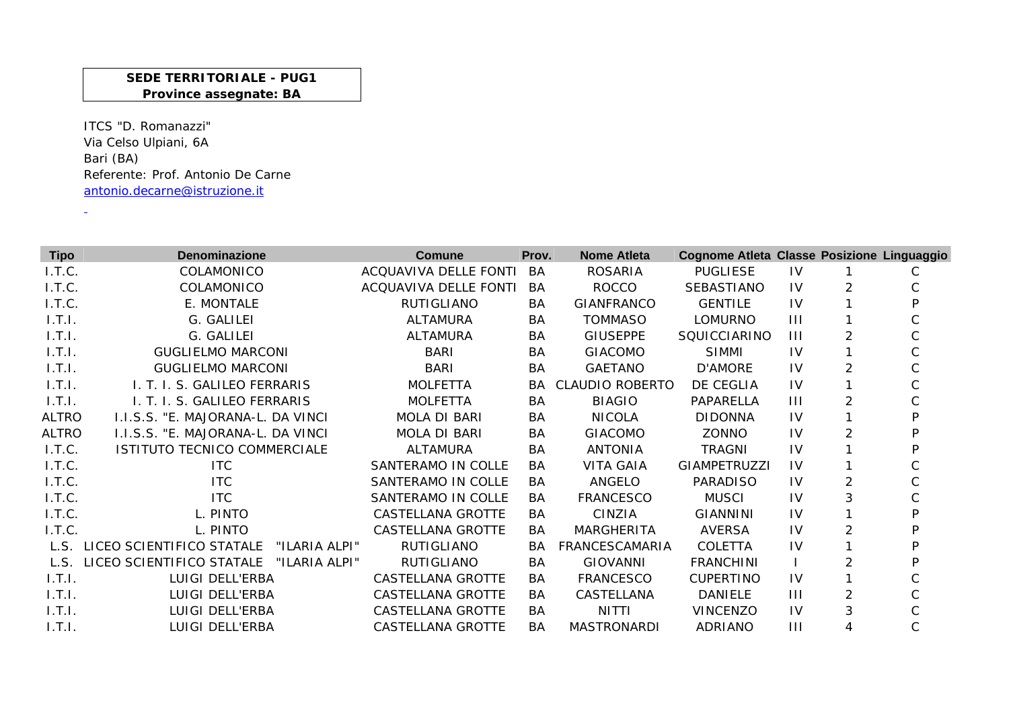## **SEDE TERRITORIALE - PUG1 Province assegnate: BA**

ITCS "D. Romanazzi" Via Celso Ulpiani, 6A Bari (BA) Referente: Prof. Antonio De Carneantonio.decarne@istruzione.it

 $\Delta \phi$ 

| <b>Tipo</b>  | <b>Denominazione</b>                       | Comune                   | Prov.     | <b>Nome Atleta</b>     | Cognome Atleta Classe Posizione Linguaggio |                |                |   |
|--------------|--------------------------------------------|--------------------------|-----------|------------------------|--------------------------------------------|----------------|----------------|---|
| I.T.C.       | COLAMONICO                                 | ACQUAVIVA DELLE FONTI    | BA        | <b>ROSARIA</b>         | <b>PUGLIESE</b>                            | IV             |                | C |
| I.T.C.       | COLAMONICO                                 | ACQUAVIVA DELLE FONTI    | BA        | <b>ROCCO</b>           | SEBASTIANO                                 | IV             | 2              |   |
| I.T.C.       | E. MONTALE                                 | RUTIGLIANO               | BA        | <b>GIANFRANCO</b>      | <b>GENTILE</b>                             | IV             |                |   |
| 1.T.1.       | G. GALILEI                                 | <b>ALTAMURA</b>          | BA        | <b>TOMMASO</b>         | <b>LOMURNO</b>                             | $\mathbf{III}$ |                |   |
| 1.T.I.       | G. GALILEI                                 | <b>ALTAMURA</b>          | BA        | <b>GIUSEPPE</b>        | SQUICCIARINO                               | $\mathbf{III}$ |                |   |
| 1.T.I.       | <b>GUGLIELMO MARCONI</b>                   | <b>BARI</b>              | BA        | <b>GIACOMO</b>         | <b>SIMMI</b>                               | IV             |                |   |
| 1.T.I.       | <b>GUGLIELMO MARCONI</b>                   | <b>BARI</b>              | BA        | <b>GAETANO</b>         | D'AMORE                                    | IV             | 2              |   |
| 1.T.1.       | I. T. I. S. GALILEO FERRARIS               | <b>MOLFETTA</b>          | BA.       | <b>CLAUDIO ROBERTO</b> | DE CEGLIA                                  | IV             |                |   |
| 1.T.I.       | I. T. I. S. GALILEO FERRARIS               | <b>MOLFETTA</b>          | <b>BA</b> | <b>BIAGIO</b>          | PAPARELLA                                  | $\mathbf{III}$ | 2              |   |
| <b>ALTRO</b> | I.I.S.S. "E. MAJORANA-L. DA VINCI          | <b>MOLA DI BARI</b>      | BA        | <b>NICOLA</b>          | <b>DIDONNA</b>                             | IV             |                |   |
| <b>ALTRO</b> | I.I.S.S. "E. MAJORANA-L. DA VINCI          | <b>MOLA DI BARI</b>      | BA        | <b>GIACOMO</b>         | ZONNO                                      | IV             | $\overline{2}$ |   |
| I.T.C.       | ISTITUTO TECNICO COMMERCIALE               | ALTAMURA                 | BA        | <b>ANTONIA</b>         | <b>TRAGNI</b>                              | IV             |                |   |
| I.T.C.       | <b>ITC</b>                                 | SANTERAMO IN COLLE       | BA        | <b>VITA GAIA</b>       | <b>GIAMPETRUZZI</b>                        | IV             |                |   |
| I.T.C.       | <b>ITC</b>                                 | SANTERAMO IN COLLE       | BA        | ANGELO                 | <b>PARADISO</b>                            | IV             | 2              |   |
| I.T.C.       | <b>ITC</b>                                 | SANTERAMO IN COLLE       | BA        | <b>FRANCESCO</b>       | <b>MUSCI</b>                               | IV             | 3              |   |
| I.T.C.       | L. PINTO                                   | CASTELLANA GROTTE        | BA.       | CINZIA                 | <b>GIANNINI</b>                            | IV             |                | D |
| I.T.C.       | L. PINTO                                   | <b>CASTELLANA GROTTE</b> | BA        | MARGHERITA             | <b>AVERSA</b>                              | IV             |                |   |
| L.S.         | LICEO SCIENTIFICO STATALE<br>"ILARIA ALPI" | RUTIGLIANO               | BA        | FRANCESCAMARIA         | COLETTA                                    | IV             |                |   |
| L.S.         | LICEO SCIENTIFICO STATALE<br>"ILARIA ALPI" | RUTIGLIANO               | BA        | <b>GIOVANNI</b>        | <b>FRANCHINI</b>                           |                | 2              |   |
| 1.7.1.       | LUIGI DELL'ERBA                            | CASTELLANA GROTTE        | BA        | <b>FRANCESCO</b>       | <b>CUPERTINO</b>                           | IV             |                |   |
| 1.T.I.       | LUIGI DELL'ERBA                            | CASTELLANA GROTTE        | BA        | CASTELLANA             | DANIELE                                    | $\mathbf{III}$ | 2              |   |
| 1.T.I.       | LUIGI DELL'ERBA                            | <b>CASTELLANA GROTTE</b> | BA        | <b>NITTI</b>           | <b>VINCENZO</b>                            | IV             | 3              |   |
| 1.T.I.       | LUIGI DELL'ERBA                            | <b>CASTELLANA GROTTE</b> | BA        | <b>MASTRONARDI</b>     | ADRIANO                                    | Ш              | 4              |   |